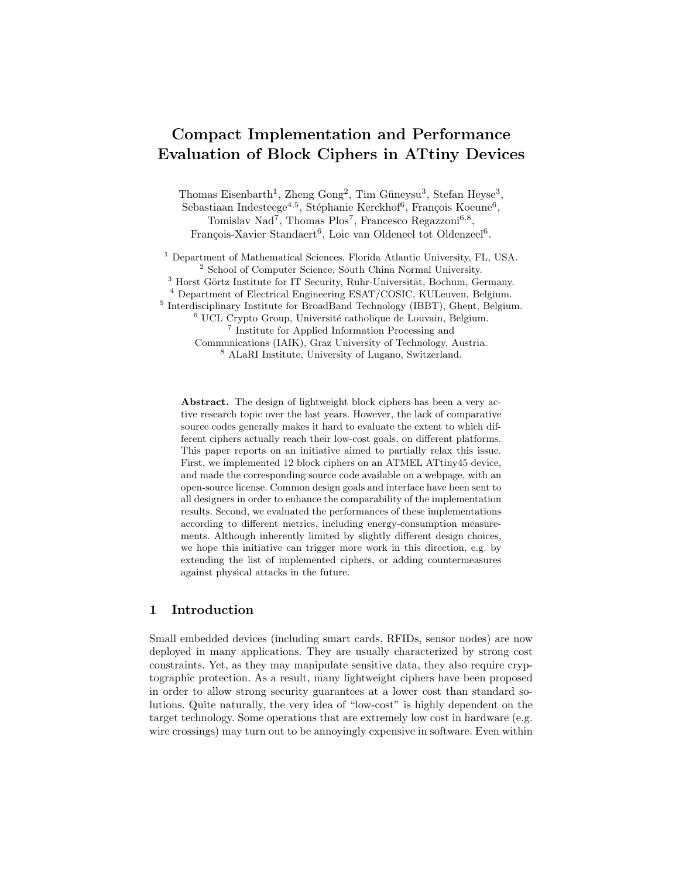# Compact Implementation and Performance Evaluation of Block Ciphers in ATtiny Devices

Thomas Eisenbarth<sup>1</sup>, Zheng Gong<sup>2</sup>, Tim Güneysu<sup>3</sup>, Stefan Heyse<sup>3</sup>, Sebastiaan Indesteege<sup>4,5</sup>, Stéphanie Kerckhof<sup>6</sup>, François Koeune<sup>6</sup>, Tomislav Nad<sup>7</sup>, Thomas Plos<sup>7</sup>, Francesco Regazzoni<sup>6,8</sup>, François-Xavier Standaert<sup>6</sup>, Loic van Oldeneel tot Oldenzeel<sup>6</sup>.

<sup>1</sup> Department of Mathematical Sciences, Florida Atlantic University, FL, USA. <sup>2</sup> School of Computer Science, South China Normal University. <sup>3</sup> Horst Görtz Institute for IT Security, Ruhr-Universität, Bochum, Germany. <sup>4</sup> Department of Electrical Engineering ESAT/COSIC, KULeuven, Belgium. <sup>5</sup> Interdisciplinary Institute for BroadBand Technology (IBBT), Ghent, Belgium.  $6$  UCL Crypto Group, Université catholique de Louvain, Belgium. 7 Institute for Applied Information Processing and Communications (IAIK), Graz University of Technology, Austria. <sup>8</sup> ALaRI Institute, University of Lugano, Switzerland.

Abstract. The design of lightweight block ciphers has been a very active research topic over the last years. However, the lack of comparative source codes generally makes it hard to evaluate the extent to which different ciphers actually reach their low-cost goals, on different platforms. This paper reports on an initiative aimed to partially relax this issue. First, we implemented 12 block ciphers on an ATMEL ATtiny45 device, and made the corresponding source code available on a webpage, with an open-source license. Common design goals and interface have been sent to all designers in order to enhance the comparability of the implementation results. Second, we evaluated the performances of these implementations according to different metrics, including energy-consumption measurements. Although inherently limited by slightly different design choices, we hope this initiative can trigger more work in this direction, e.g. by extending the list of implemented ciphers, or adding countermeasures against physical attacks in the future.

# 1 Introduction

Small embedded devices (including smart cards, RFIDs, sensor nodes) are now deployed in many applications. They are usually characterized by strong cost constraints. Yet, as they may manipulate sensitive data, they also require cryptographic protection. As a result, many lightweight ciphers have been proposed in order to allow strong security guarantees at a lower cost than standard solutions. Quite naturally, the very idea of "low-cost" is highly dependent on the target technology. Some operations that are extremely low cost in hardware (e.g. wire crossings) may turn out to be annoyingly expensive in software. Even within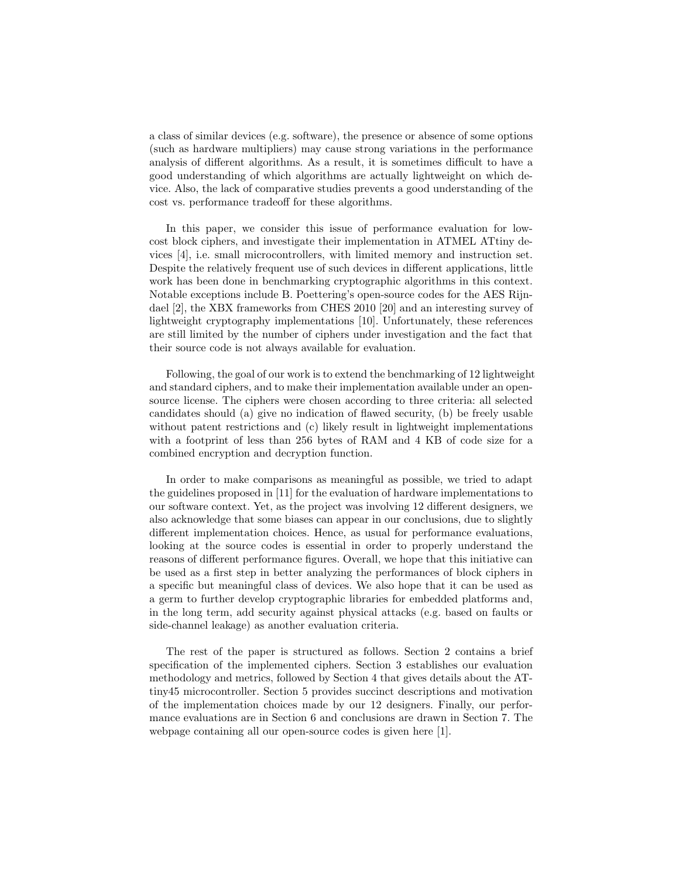a class of similar devices (e.g. software), the presence or absence of some options (such as hardware multipliers) may cause strong variations in the performance analysis of different algorithms. As a result, it is sometimes difficult to have a good understanding of which algorithms are actually lightweight on which device. Also, the lack of comparative studies prevents a good understanding of the cost vs. performance tradeoff for these algorithms.

In this paper, we consider this issue of performance evaluation for lowcost block ciphers, and investigate their implementation in ATMEL ATtiny devices [4], i.e. small microcontrollers, with limited memory and instruction set. Despite the relatively frequent use of such devices in different applications, little work has been done in benchmarking cryptographic algorithms in this context. Notable exceptions include B. Poettering's open-source codes for the AES Rijndael [2], the XBX frameworks from CHES 2010 [20] and an interesting survey of lightweight cryptography implementations [10]. Unfortunately, these references are still limited by the number of ciphers under investigation and the fact that their source code is not always available for evaluation.

Following, the goal of our work is to extend the benchmarking of 12 lightweight and standard ciphers, and to make their implementation available under an opensource license. The ciphers were chosen according to three criteria: all selected candidates should (a) give no indication of flawed security, (b) be freely usable without patent restrictions and (c) likely result in lightweight implementations with a footprint of less than 256 bytes of RAM and 4 KB of code size for a combined encryption and decryption function.

In order to make comparisons as meaningful as possible, we tried to adapt the guidelines proposed in [11] for the evaluation of hardware implementations to our software context. Yet, as the project was involving 12 different designers, we also acknowledge that some biases can appear in our conclusions, due to slightly different implementation choices. Hence, as usual for performance evaluations, looking at the source codes is essential in order to properly understand the reasons of different performance figures. Overall, we hope that this initiative can be used as a first step in better analyzing the performances of block ciphers in a specific but meaningful class of devices. We also hope that it can be used as a germ to further develop cryptographic libraries for embedded platforms and, in the long term, add security against physical attacks (e.g. based on faults or side-channel leakage) as another evaluation criteria.

The rest of the paper is structured as follows. Section 2 contains a brief specification of the implemented ciphers. Section 3 establishes our evaluation methodology and metrics, followed by Section 4 that gives details about the ATtiny45 microcontroller. Section 5 provides succinct descriptions and motivation of the implementation choices made by our 12 designers. Finally, our performance evaluations are in Section 6 and conclusions are drawn in Section 7. The webpage containing all our open-source codes is given here [1].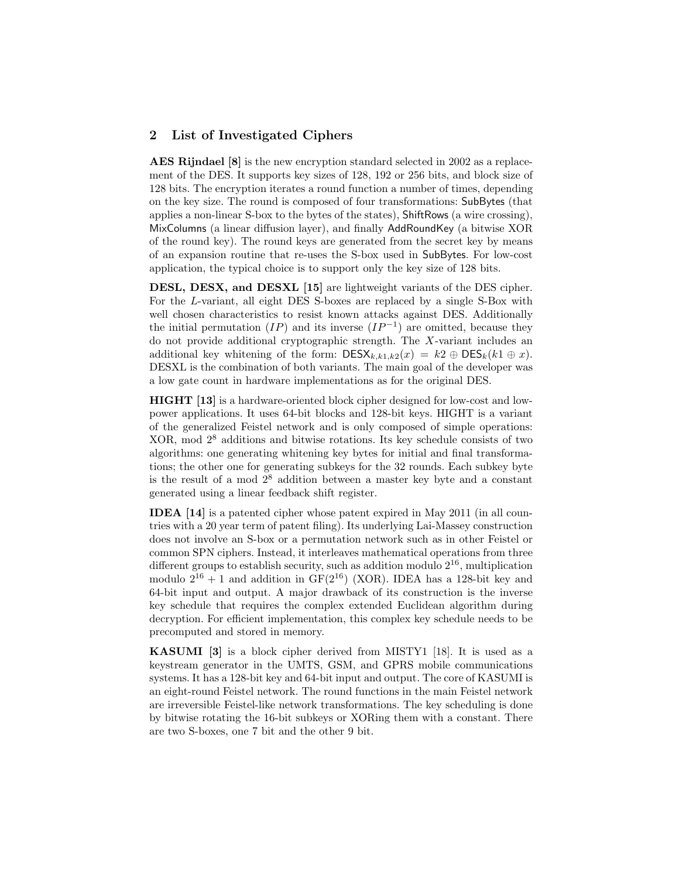#### 2 List of Investigated Ciphers

AES Rijndael [8] is the new encryption standard selected in 2002 as a replacement of the DES. It supports key sizes of 128, 192 or 256 bits, and block size of 128 bits. The encryption iterates a round function a number of times, depending on the key size. The round is composed of four transformations: SubBytes (that applies a non-linear S-box to the bytes of the states), ShiftRows (a wire crossing), MixColumns (a linear diffusion layer), and finally AddRoundKey (a bitwise XOR of the round key). The round keys are generated from the secret key by means of an expansion routine that re-uses the S-box used in SubBytes. For low-cost application, the typical choice is to support only the key size of 128 bits.

DESL, DESX, and DESXL [15] are lightweight variants of the DES cipher. For the L-variant, all eight DES S-boxes are replaced by a single S-Box with well chosen characteristics to resist known attacks against DES. Additionally the initial permutation  $(IP)$  and its inverse  $(IP^{-1})$  are omitted, because they do not provide additional cryptographic strength. The X-variant includes an additional key whitening of the form:  $\text{DESX}_{k,k1,k2}(x) = k2 \oplus \text{DES}_k(k1 \oplus x)$ . DESXL is the combination of both variants. The main goal of the developer was a low gate count in hardware implementations as for the original DES.

HIGHT [13] is a hardware-oriented block cipher designed for low-cost and lowpower applications. It uses 64-bit blocks and 128-bit keys. HIGHT is a variant of the generalized Feistel network and is only composed of simple operations: XOR, mod 2<sup>8</sup> additions and bitwise rotations. Its key schedule consists of two algorithms: one generating whitening key bytes for initial and final transformations; the other one for generating subkeys for the 32 rounds. Each subkey byte is the result of a mod  $2<sup>8</sup>$  addition between a master key byte and a constant generated using a linear feedback shift register.

IDEA [14] is a patented cipher whose patent expired in May 2011 (in all countries with a 20 year term of patent filing). Its underlying Lai-Massey construction does not involve an S-box or a permutation network such as in other Feistel or common SPN ciphers. Instead, it interleaves mathematical operations from three different groups to establish security, such as addition modulo  $2^{16}$ , multiplication modulo  $2^{16} + 1$  and addition in GF( $2^{16}$ ) (XOR). IDEA has a 128-bit key and 64-bit input and output. A major drawback of its construction is the inverse key schedule that requires the complex extended Euclidean algorithm during decryption. For efficient implementation, this complex key schedule needs to be precomputed and stored in memory.

KASUMI [3] is a block cipher derived from MISTY1 [18]. It is used as a keystream generator in the UMTS, GSM, and GPRS mobile communications systems. It has a 128-bit key and 64-bit input and output. The core of KASUMI is an eight-round Feistel network. The round functions in the main Feistel network are irreversible Feistel-like network transformations. The key scheduling is done by bitwise rotating the 16-bit subkeys or XORing them with a constant. There are two S-boxes, one 7 bit and the other 9 bit.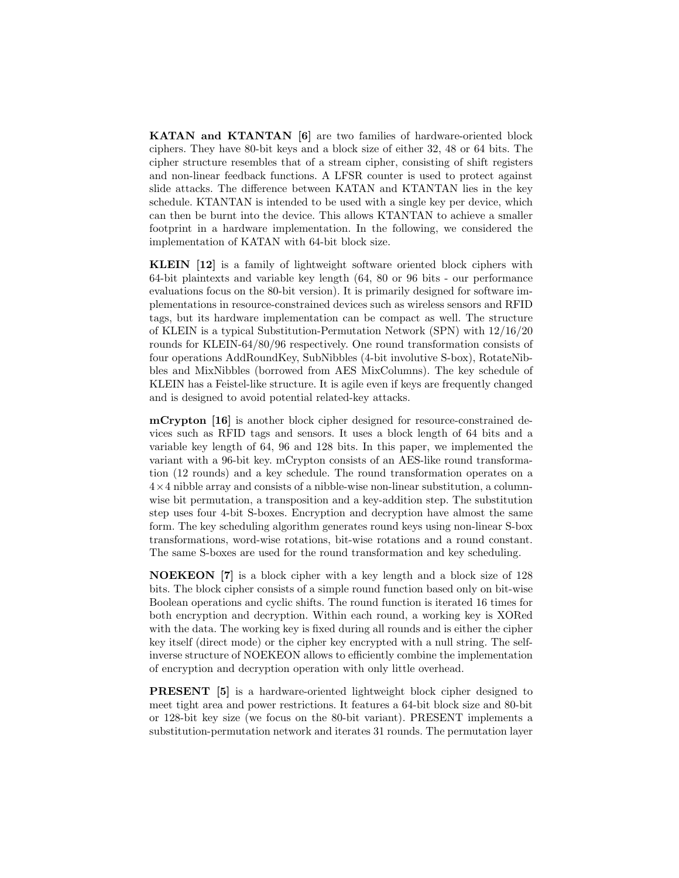KATAN and KTANTAN [6] are two families of hardware-oriented block ciphers. They have 80-bit keys and a block size of either 32, 48 or 64 bits. The cipher structure resembles that of a stream cipher, consisting of shift registers and non-linear feedback functions. A LFSR counter is used to protect against slide attacks. The difference between KATAN and KTANTAN lies in the key schedule. KTANTAN is intended to be used with a single key per device, which can then be burnt into the device. This allows KTANTAN to achieve a smaller footprint in a hardware implementation. In the following, we considered the implementation of KATAN with 64-bit block size.

KLEIN [12] is a family of lightweight software oriented block ciphers with 64-bit plaintexts and variable key length (64, 80 or 96 bits - our performance evaluations focus on the 80-bit version). It is primarily designed for software implementations in resource-constrained devices such as wireless sensors and RFID tags, but its hardware implementation can be compact as well. The structure of KLEIN is a typical Substitution-Permutation Network (SPN) with 12/16/20 rounds for KLEIN-64/80/96 respectively. One round transformation consists of four operations AddRoundKey, SubNibbles (4-bit involutive S-box), RotateNibbles and MixNibbles (borrowed from AES MixColumns). The key schedule of KLEIN has a Feistel-like structure. It is agile even if keys are frequently changed and is designed to avoid potential related-key attacks.

mCrypton [16] is another block cipher designed for resource-constrained devices such as RFID tags and sensors. It uses a block length of 64 bits and a variable key length of 64, 96 and 128 bits. In this paper, we implemented the variant with a 96-bit key. mCrypton consists of an AES-like round transformation (12 rounds) and a key schedule. The round transformation operates on a  $4\times4$  nibble array and consists of a nibble-wise non-linear substitution, a columnwise bit permutation, a transposition and a key-addition step. The substitution step uses four 4-bit S-boxes. Encryption and decryption have almost the same form. The key scheduling algorithm generates round keys using non-linear S-box transformations, word-wise rotations, bit-wise rotations and a round constant. The same S-boxes are used for the round transformation and key scheduling.

NOEKEON [7] is a block cipher with a key length and a block size of 128 bits. The block cipher consists of a simple round function based only on bit-wise Boolean operations and cyclic shifts. The round function is iterated 16 times for both encryption and decryption. Within each round, a working key is XORed with the data. The working key is fixed during all rounds and is either the cipher key itself (direct mode) or the cipher key encrypted with a null string. The selfinverse structure of NOEKEON allows to efficiently combine the implementation of encryption and decryption operation with only little overhead.

PRESENT [5] is a hardware-oriented lightweight block cipher designed to meet tight area and power restrictions. It features a 64-bit block size and 80-bit or 128-bit key size (we focus on the 80-bit variant). PRESENT implements a substitution-permutation network and iterates 31 rounds. The permutation layer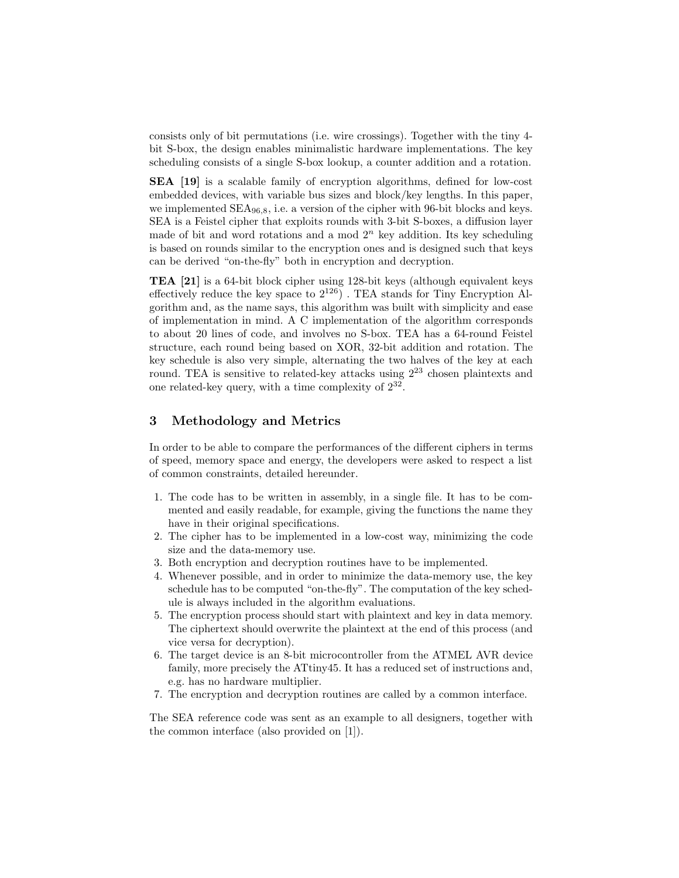consists only of bit permutations (i.e. wire crossings). Together with the tiny 4 bit S-box, the design enables minimalistic hardware implementations. The key scheduling consists of a single S-box lookup, a counter addition and a rotation.

SEA [19] is a scalable family of encryption algorithms, defined for low-cost embedded devices, with variable bus sizes and block/key lengths. In this paper, we implemented  $SEA_{96,8}$ , i.e. a version of the cipher with 96-bit blocks and keys. SEA is a Feistel cipher that exploits rounds with 3-bit S-boxes, a diffusion layer made of bit and word rotations and a mod  $2<sup>n</sup>$  key addition. Its key scheduling is based on rounds similar to the encryption ones and is designed such that keys can be derived "on-the-fly" both in encryption and decryption.

TEA [21] is a 64-bit block cipher using 128-bit keys (although equivalent keys effectively reduce the key space to  $2^{126}$ ). TEA stands for Tiny Encryption Algorithm and, as the name says, this algorithm was built with simplicity and ease of implementation in mind. A C implementation of the algorithm corresponds to about 20 lines of code, and involves no S-box. TEA has a 64-round Feistel structure, each round being based on XOR, 32-bit addition and rotation. The key schedule is also very simple, alternating the two halves of the key at each round. TEA is sensitive to related-key attacks using  $2^{23}$  chosen plaintexts and one related-key query, with a time complexity of 2<sup>32</sup> .

#### 3 Methodology and Metrics

In order to be able to compare the performances of the different ciphers in terms of speed, memory space and energy, the developers were asked to respect a list of common constraints, detailed hereunder.

- 1. The code has to be written in assembly, in a single file. It has to be commented and easily readable, for example, giving the functions the name they have in their original specifications.
- 2. The cipher has to be implemented in a low-cost way, minimizing the code size and the data-memory use.
- 3. Both encryption and decryption routines have to be implemented.
- 4. Whenever possible, and in order to minimize the data-memory use, the key schedule has to be computed "on-the-fly". The computation of the key schedule is always included in the algorithm evaluations.
- 5. The encryption process should start with plaintext and key in data memory. The ciphertext should overwrite the plaintext at the end of this process (and vice versa for decryption).
- 6. The target device is an 8-bit microcontroller from the ATMEL AVR device family, more precisely the ATtiny45. It has a reduced set of instructions and, e.g. has no hardware multiplier.
- 7. The encryption and decryption routines are called by a common interface.

The SEA reference code was sent as an example to all designers, together with the common interface (also provided on [1]).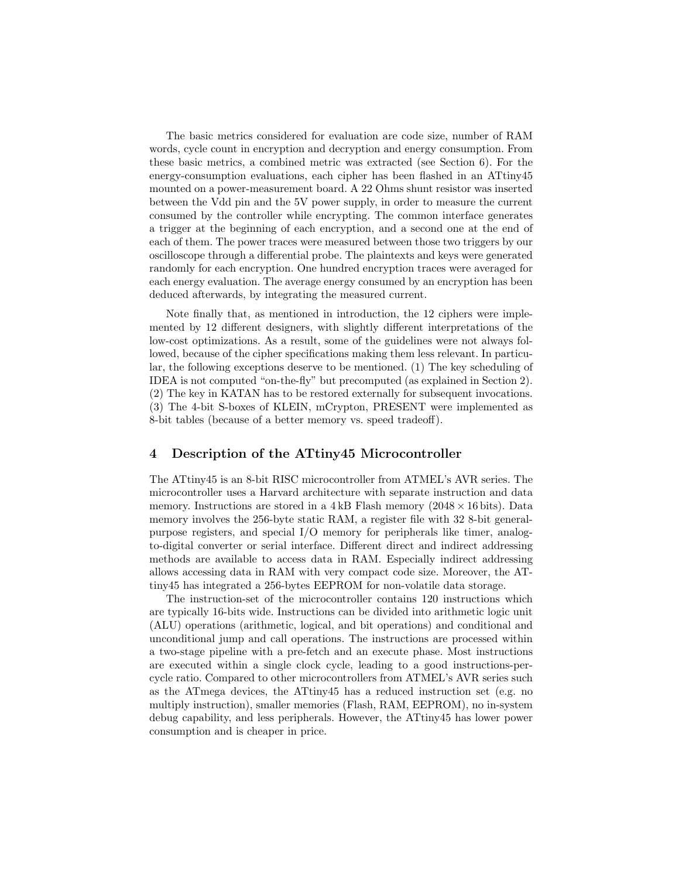The basic metrics considered for evaluation are code size, number of RAM words, cycle count in encryption and decryption and energy consumption. From these basic metrics, a combined metric was extracted (see Section 6). For the energy-consumption evaluations, each cipher has been flashed in an ATtiny45 mounted on a power-measurement board. A 22 Ohms shunt resistor was inserted between the Vdd pin and the 5V power supply, in order to measure the current consumed by the controller while encrypting. The common interface generates a trigger at the beginning of each encryption, and a second one at the end of each of them. The power traces were measured between those two triggers by our oscilloscope through a differential probe. The plaintexts and keys were generated randomly for each encryption. One hundred encryption traces were averaged for each energy evaluation. The average energy consumed by an encryption has been deduced afterwards, by integrating the measured current.

Note finally that, as mentioned in introduction, the 12 ciphers were implemented by 12 different designers, with slightly different interpretations of the low-cost optimizations. As a result, some of the guidelines were not always followed, because of the cipher specifications making them less relevant. In particular, the following exceptions deserve to be mentioned. (1) The key scheduling of IDEA is not computed "on-the-fly" but precomputed (as explained in Section 2). (2) The key in KATAN has to be restored externally for subsequent invocations. (3) The 4-bit S-boxes of KLEIN, mCrypton, PRESENT were implemented as 8-bit tables (because of a better memory vs. speed tradeoff).

#### 4 Description of the ATtiny45 Microcontroller

The ATtiny45 is an 8-bit RISC microcontroller from ATMEL's AVR series. The microcontroller uses a Harvard architecture with separate instruction and data memory. Instructions are stored in a  $4kB$  Flash memory (2048  $\times$  16 bits). Data memory involves the 256-byte static RAM, a register file with 32 8-bit generalpurpose registers, and special I/O memory for peripherals like timer, analogto-digital converter or serial interface. Different direct and indirect addressing methods are available to access data in RAM. Especially indirect addressing allows accessing data in RAM with very compact code size. Moreover, the ATtiny45 has integrated a 256-bytes EEPROM for non-volatile data storage.

The instruction-set of the microcontroller contains 120 instructions which are typically 16-bits wide. Instructions can be divided into arithmetic logic unit (ALU) operations (arithmetic, logical, and bit operations) and conditional and unconditional jump and call operations. The instructions are processed within a two-stage pipeline with a pre-fetch and an execute phase. Most instructions are executed within a single clock cycle, leading to a good instructions-percycle ratio. Compared to other microcontrollers from ATMEL's AVR series such as the ATmega devices, the ATtiny45 has a reduced instruction set (e.g. no multiply instruction), smaller memories (Flash, RAM, EEPROM), no in-system debug capability, and less peripherals. However, the ATtiny45 has lower power consumption and is cheaper in price.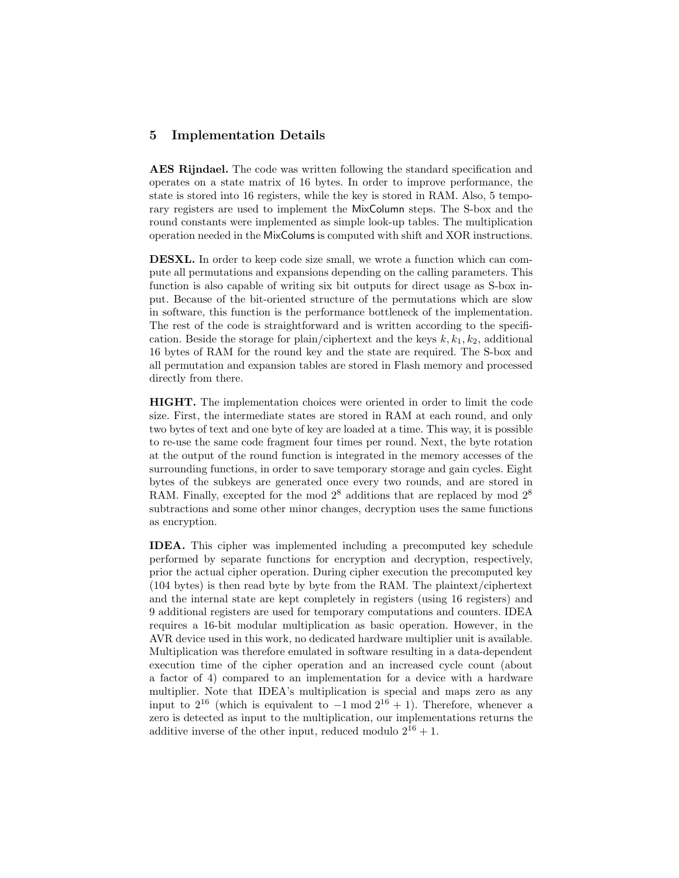#### 5 Implementation Details

AES Rijndael. The code was written following the standard specification and operates on a state matrix of 16 bytes. In order to improve performance, the state is stored into 16 registers, while the key is stored in RAM. Also, 5 temporary registers are used to implement the MixColumn steps. The S-box and the round constants were implemented as simple look-up tables. The multiplication operation needed in the MixColums is computed with shift and XOR instructions.

DESXL. In order to keep code size small, we wrote a function which can compute all permutations and expansions depending on the calling parameters. This function is also capable of writing six bit outputs for direct usage as S-box input. Because of the bit-oriented structure of the permutations which are slow in software, this function is the performance bottleneck of the implementation. The rest of the code is straightforward and is written according to the specification. Beside the storage for plain/ciphertext and the keys  $k, k_1, k_2$ , additional 16 bytes of RAM for the round key and the state are required. The S-box and all permutation and expansion tables are stored in Flash memory and processed directly from there.

HIGHT. The implementation choices were oriented in order to limit the code size. First, the intermediate states are stored in RAM at each round, and only two bytes of text and one byte of key are loaded at a time. This way, it is possible to re-use the same code fragment four times per round. Next, the byte rotation at the output of the round function is integrated in the memory accesses of the surrounding functions, in order to save temporary storage and gain cycles. Eight bytes of the subkeys are generated once every two rounds, and are stored in RAM. Finally, excepted for the mod  $2^8$  additions that are replaced by mod  $2^8$ subtractions and some other minor changes, decryption uses the same functions as encryption.

IDEA. This cipher was implemented including a precomputed key schedule performed by separate functions for encryption and decryption, respectively, prior the actual cipher operation. During cipher execution the precomputed key (104 bytes) is then read byte by byte from the RAM. The plaintext/ciphertext and the internal state are kept completely in registers (using 16 registers) and 9 additional registers are used for temporary computations and counters. IDEA requires a 16-bit modular multiplication as basic operation. However, in the AVR device used in this work, no dedicated hardware multiplier unit is available. Multiplication was therefore emulated in software resulting in a data-dependent execution time of the cipher operation and an increased cycle count (about a factor of 4) compared to an implementation for a device with a hardware multiplier. Note that IDEA's multiplication is special and maps zero as any input to  $2^{16}$  (which is equivalent to  $-1 \mod 2^{16} + 1$ ). Therefore, whenever a zero is detected as input to the multiplication, our implementations returns the additive inverse of the other input, reduced modulo  $2^{16} + 1$ .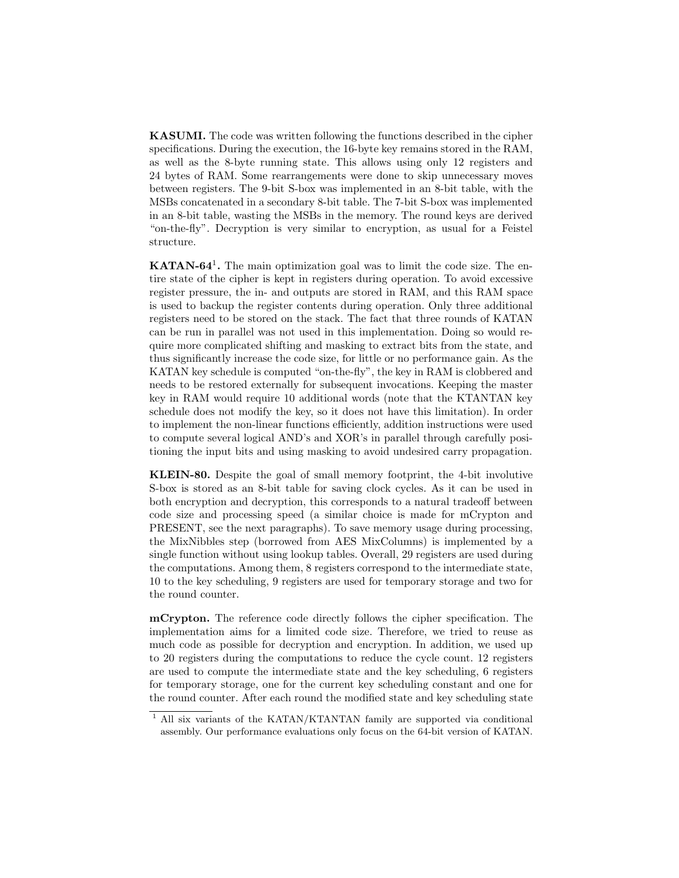KASUMI. The code was written following the functions described in the cipher specifications. During the execution, the 16-byte key remains stored in the RAM, as well as the 8-byte running state. This allows using only 12 registers and 24 bytes of RAM. Some rearrangements were done to skip unnecessary moves between registers. The 9-bit S-box was implemented in an 8-bit table, with the MSBs concatenated in a secondary 8-bit table. The 7-bit S-box was implemented in an 8-bit table, wasting the MSBs in the memory. The round keys are derived "on-the-fly". Decryption is very similar to encryption, as usual for a Feistel structure.

**KATAN-64<sup>1</sup>**. The main optimization goal was to limit the code size. The entire state of the cipher is kept in registers during operation. To avoid excessive register pressure, the in- and outputs are stored in RAM, and this RAM space is used to backup the register contents during operation. Only three additional registers need to be stored on the stack. The fact that three rounds of KATAN can be run in parallel was not used in this implementation. Doing so would require more complicated shifting and masking to extract bits from the state, and thus significantly increase the code size, for little or no performance gain. As the KATAN key schedule is computed "on-the-fly", the key in RAM is clobbered and needs to be restored externally for subsequent invocations. Keeping the master key in RAM would require 10 additional words (note that the KTANTAN key schedule does not modify the key, so it does not have this limitation). In order to implement the non-linear functions efficiently, addition instructions were used to compute several logical AND's and XOR's in parallel through carefully positioning the input bits and using masking to avoid undesired carry propagation.

KLEIN-80. Despite the goal of small memory footprint, the 4-bit involutive S-box is stored as an 8-bit table for saving clock cycles. As it can be used in both encryption and decryption, this corresponds to a natural tradeoff between code size and processing speed (a similar choice is made for mCrypton and PRESENT, see the next paragraphs). To save memory usage during processing, the MixNibbles step (borrowed from AES MixColumns) is implemented by a single function without using lookup tables. Overall, 29 registers are used during the computations. Among them, 8 registers correspond to the intermediate state, 10 to the key scheduling, 9 registers are used for temporary storage and two for the round counter.

mCrypton. The reference code directly follows the cipher specification. The implementation aims for a limited code size. Therefore, we tried to reuse as much code as possible for decryption and encryption. In addition, we used up to 20 registers during the computations to reduce the cycle count. 12 registers are used to compute the intermediate state and the key scheduling, 6 registers for temporary storage, one for the current key scheduling constant and one for the round counter. After each round the modified state and key scheduling state

<sup>&</sup>lt;sup>1</sup> All six variants of the KATAN/KTANTAN family are supported via conditional assembly. Our performance evaluations only focus on the 64-bit version of KATAN.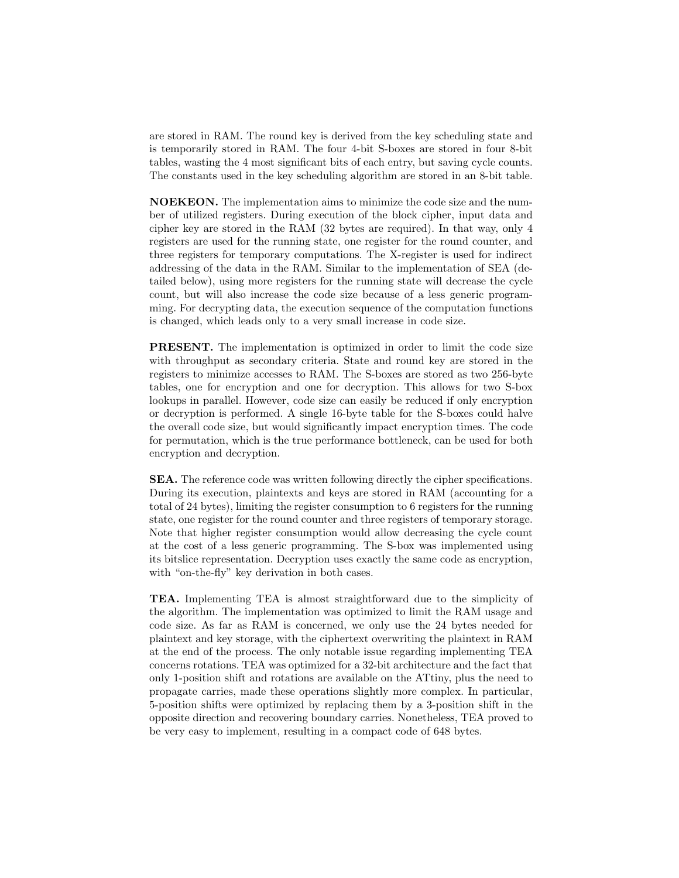are stored in RAM. The round key is derived from the key scheduling state and is temporarily stored in RAM. The four 4-bit S-boxes are stored in four 8-bit tables, wasting the 4 most significant bits of each entry, but saving cycle counts. The constants used in the key scheduling algorithm are stored in an 8-bit table.

NOEKEON. The implementation aims to minimize the code size and the number of utilized registers. During execution of the block cipher, input data and cipher key are stored in the RAM (32 bytes are required). In that way, only 4 registers are used for the running state, one register for the round counter, and three registers for temporary computations. The X-register is used for indirect addressing of the data in the RAM. Similar to the implementation of SEA (detailed below), using more registers for the running state will decrease the cycle count, but will also increase the code size because of a less generic programming. For decrypting data, the execution sequence of the computation functions is changed, which leads only to a very small increase in code size.

PRESENT. The implementation is optimized in order to limit the code size with throughput as secondary criteria. State and round key are stored in the registers to minimize accesses to RAM. The S-boxes are stored as two 256-byte tables, one for encryption and one for decryption. This allows for two S-box lookups in parallel. However, code size can easily be reduced if only encryption or decryption is performed. A single 16-byte table for the S-boxes could halve the overall code size, but would significantly impact encryption times. The code for permutation, which is the true performance bottleneck, can be used for both encryption and decryption.

SEA. The reference code was written following directly the cipher specifications. During its execution, plaintexts and keys are stored in RAM (accounting for a total of 24 bytes), limiting the register consumption to 6 registers for the running state, one register for the round counter and three registers of temporary storage. Note that higher register consumption would allow decreasing the cycle count at the cost of a less generic programming. The S-box was implemented using its bitslice representation. Decryption uses exactly the same code as encryption, with "on-the-fly" key derivation in both cases.

TEA. Implementing TEA is almost straightforward due to the simplicity of the algorithm. The implementation was optimized to limit the RAM usage and code size. As far as RAM is concerned, we only use the 24 bytes needed for plaintext and key storage, with the ciphertext overwriting the plaintext in RAM at the end of the process. The only notable issue regarding implementing TEA concerns rotations. TEA was optimized for a 32-bit architecture and the fact that only 1-position shift and rotations are available on the ATtiny, plus the need to propagate carries, made these operations slightly more complex. In particular, 5-position shifts were optimized by replacing them by a 3-position shift in the opposite direction and recovering boundary carries. Nonetheless, TEA proved to be very easy to implement, resulting in a compact code of 648 bytes.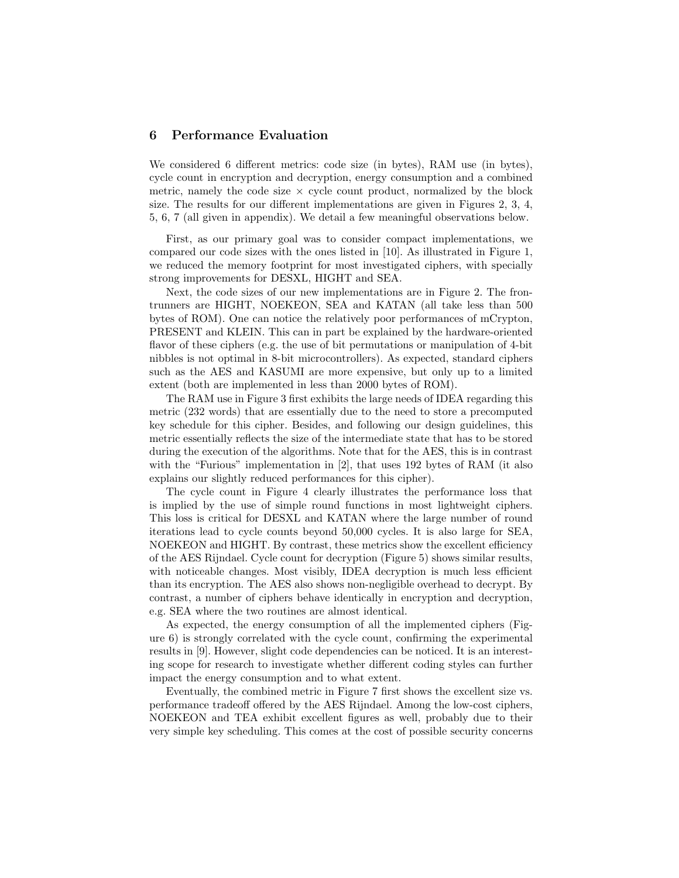## 6 Performance Evaluation

We considered 6 different metrics: code size (in bytes), RAM use (in bytes), cycle count in encryption and decryption, energy consumption and a combined metric, namely the code size  $\times$  cycle count product, normalized by the block size. The results for our different implementations are given in Figures 2, 3, 4, 5, 6, 7 (all given in appendix). We detail a few meaningful observations below.

First, as our primary goal was to consider compact implementations, we compared our code sizes with the ones listed in [10]. As illustrated in Figure 1, we reduced the memory footprint for most investigated ciphers, with specially strong improvements for DESXL, HIGHT and SEA.

Next, the code sizes of our new implementations are in Figure 2. The frontrunners are HIGHT, NOEKEON, SEA and KATAN (all take less than 500 bytes of ROM). One can notice the relatively poor performances of mCrypton, PRESENT and KLEIN. This can in part be explained by the hardware-oriented flavor of these ciphers (e.g. the use of bit permutations or manipulation of 4-bit nibbles is not optimal in 8-bit microcontrollers). As expected, standard ciphers such as the AES and KASUMI are more expensive, but only up to a limited extent (both are implemented in less than 2000 bytes of ROM).

The RAM use in Figure 3 first exhibits the large needs of IDEA regarding this metric (232 words) that are essentially due to the need to store a precomputed key schedule for this cipher. Besides, and following our design guidelines, this metric essentially reflects the size of the intermediate state that has to be stored during the execution of the algorithms. Note that for the AES, this is in contrast with the "Furious" implementation in [2], that uses 192 bytes of RAM (it also explains our slightly reduced performances for this cipher).

The cycle count in Figure 4 clearly illustrates the performance loss that is implied by the use of simple round functions in most lightweight ciphers. This loss is critical for DESXL and KATAN where the large number of round iterations lead to cycle counts beyond 50,000 cycles. It is also large for SEA, NOEKEON and HIGHT. By contrast, these metrics show the excellent efficiency of the AES Rijndael. Cycle count for decryption (Figure 5) shows similar results, with noticeable changes. Most visibly, IDEA decryption is much less efficient than its encryption. The AES also shows non-negligible overhead to decrypt. By contrast, a number of ciphers behave identically in encryption and decryption, e.g. SEA where the two routines are almost identical.

As expected, the energy consumption of all the implemented ciphers (Figure 6) is strongly correlated with the cycle count, confirming the experimental results in [9]. However, slight code dependencies can be noticed. It is an interesting scope for research to investigate whether different coding styles can further impact the energy consumption and to what extent.

Eventually, the combined metric in Figure 7 first shows the excellent size vs. performance tradeoff offered by the AES Rijndael. Among the low-cost ciphers, NOEKEON and TEA exhibit excellent figures as well, probably due to their very simple key scheduling. This comes at the cost of possible security concerns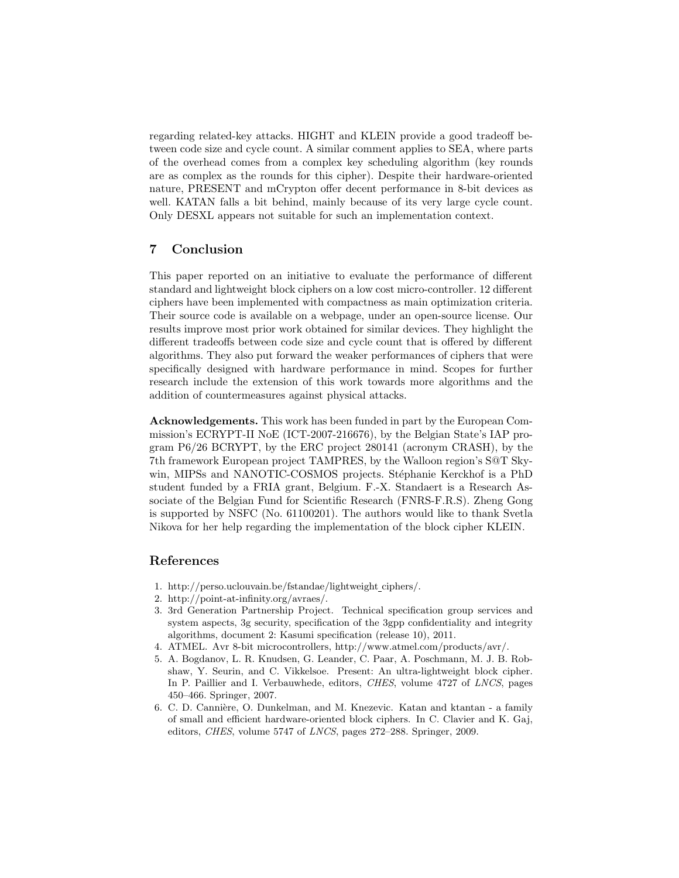regarding related-key attacks. HIGHT and KLEIN provide a good tradeoff between code size and cycle count. A similar comment applies to SEA, where parts of the overhead comes from a complex key scheduling algorithm (key rounds are as complex as the rounds for this cipher). Despite their hardware-oriented nature, PRESENT and mCrypton offer decent performance in 8-bit devices as well. KATAN falls a bit behind, mainly because of its very large cycle count. Only DESXL appears not suitable for such an implementation context.

# 7 Conclusion

This paper reported on an initiative to evaluate the performance of different standard and lightweight block ciphers on a low cost micro-controller. 12 different ciphers have been implemented with compactness as main optimization criteria. Their source code is available on a webpage, under an open-source license. Our results improve most prior work obtained for similar devices. They highlight the different tradeoffs between code size and cycle count that is offered by different algorithms. They also put forward the weaker performances of ciphers that were specifically designed with hardware performance in mind. Scopes for further research include the extension of this work towards more algorithms and the addition of countermeasures against physical attacks.

Acknowledgements. This work has been funded in part by the European Commission's ECRYPT-II NoE (ICT-2007-216676), by the Belgian State's IAP program P6/26 BCRYPT, by the ERC project 280141 (acronym CRASH), by the 7th framework European project TAMPRES, by the Walloon region's S@T Skywin, MIPSs and NANOTIC-COSMOS projects. Stéphanie Kerckhof is a PhD student funded by a FRIA grant, Belgium. F.-X. Standaert is a Research Associate of the Belgian Fund for Scientific Research (FNRS-F.R.S). Zheng Gong is supported by NSFC (No. 61100201). The authors would like to thank Svetla Nikova for her help regarding the implementation of the block cipher KLEIN.

## References

- 1. http://perso.uclouvain.be/fstandae/lightweight ciphers/.
- 2. http://point-at-infinity.org/avraes/.
- 3. 3rd Generation Partnership Project. Technical specification group services and system aspects, 3g security, specification of the 3gpp confidentiality and integrity algorithms, document 2: Kasumi specification (release 10), 2011.
- 4. ATMEL. Avr 8-bit microcontrollers, http://www.atmel.com/products/avr/.
- 5. A. Bogdanov, L. R. Knudsen, G. Leander, C. Paar, A. Poschmann, M. J. B. Robshaw, Y. Seurin, and C. Vikkelsoe. Present: An ultra-lightweight block cipher. In P. Paillier and I. Verbauwhede, editors, CHES, volume 4727 of LNCS, pages 450–466. Springer, 2007.
- 6. C. D. Cannière, O. Dunkelman, and M. Knezevic. Katan and ktantan a family of small and efficient hardware-oriented block ciphers. In C. Clavier and K. Gaj, editors, CHES, volume 5747 of LNCS, pages 272–288. Springer, 2009.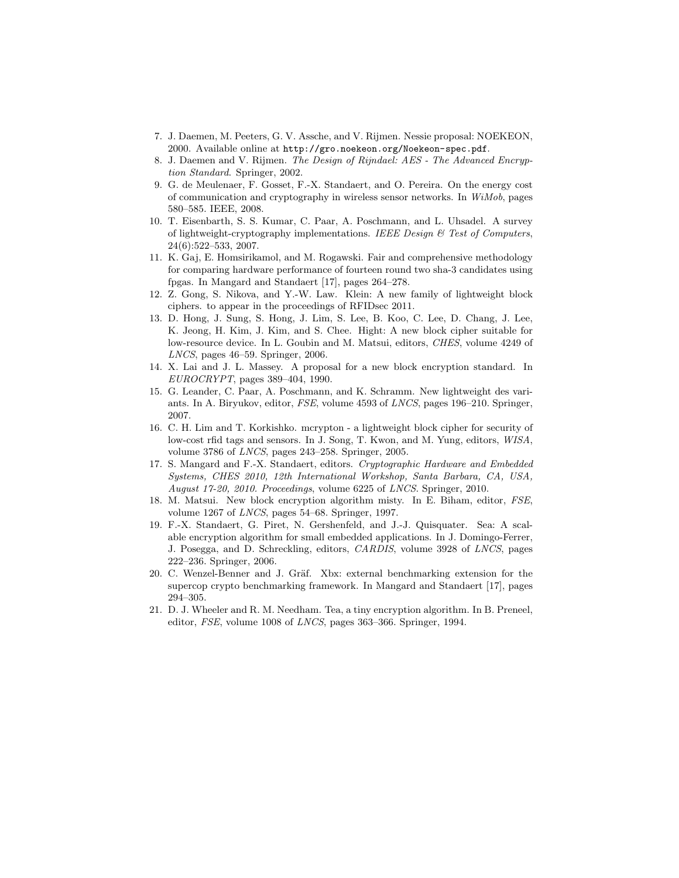- 7. J. Daemen, M. Peeters, G. V. Assche, and V. Rijmen. Nessie proposal: NOEKEON, 2000. Available online at http://gro.noekeon.org/Noekeon-spec.pdf.
- 8. J. Daemen and V. Rijmen. The Design of Rijndael: AES The Advanced Encryption Standard. Springer, 2002.
- 9. G. de Meulenaer, F. Gosset, F.-X. Standaert, and O. Pereira. On the energy cost of communication and cryptography in wireless sensor networks. In WiMob, pages 580–585. IEEE, 2008.
- 10. T. Eisenbarth, S. S. Kumar, C. Paar, A. Poschmann, and L. Uhsadel. A survey of lightweight-cryptography implementations. IEEE Design  $\mathcal C$  Test of Computers, 24(6):522–533, 2007.
- 11. K. Gaj, E. Homsirikamol, and M. Rogawski. Fair and comprehensive methodology for comparing hardware performance of fourteen round two sha-3 candidates using fpgas. In Mangard and Standaert [17], pages 264–278.
- 12. Z. Gong, S. Nikova, and Y.-W. Law. Klein: A new family of lightweight block ciphers. to appear in the proceedings of RFIDsec 2011.
- 13. D. Hong, J. Sung, S. Hong, J. Lim, S. Lee, B. Koo, C. Lee, D. Chang, J. Lee, K. Jeong, H. Kim, J. Kim, and S. Chee. Hight: A new block cipher suitable for low-resource device. In L. Goubin and M. Matsui, editors, CHES, volume 4249 of LNCS, pages 46–59. Springer, 2006.
- 14. X. Lai and J. L. Massey. A proposal for a new block encryption standard. In EUROCRYPT, pages 389–404, 1990.
- 15. G. Leander, C. Paar, A. Poschmann, and K. Schramm. New lightweight des variants. In A. Biryukov, editor, FSE, volume 4593 of LNCS, pages 196–210. Springer, 2007.
- 16. C. H. Lim and T. Korkishko. mcrypton a lightweight block cipher for security of low-cost rfid tags and sensors. In J. Song, T. Kwon, and M. Yung, editors, WISA, volume 3786 of LNCS, pages 243–258. Springer, 2005.
- 17. S. Mangard and F.-X. Standaert, editors. Cryptographic Hardware and Embedded Systems, CHES 2010, 12th International Workshop, Santa Barbara, CA, USA, August 17-20, 2010. Proceedings, volume 6225 of LNCS. Springer, 2010.
- 18. M. Matsui. New block encryption algorithm misty. In E. Biham, editor, FSE, volume 1267 of LNCS, pages 54–68. Springer, 1997.
- 19. F.-X. Standaert, G. Piret, N. Gershenfeld, and J.-J. Quisquater. Sea: A scalable encryption algorithm for small embedded applications. In J. Domingo-Ferrer, J. Posegga, and D. Schreckling, editors, CARDIS, volume 3928 of LNCS, pages 222–236. Springer, 2006.
- 20. C. Wenzel-Benner and J. Gräf. Xbx: external benchmarking extension for the supercop crypto benchmarking framework. In Mangard and Standaert [17], pages 294–305.
- 21. D. J. Wheeler and R. M. Needham. Tea, a tiny encryption algorithm. In B. Preneel, editor, FSE, volume 1008 of LNCS, pages 363–366. Springer, 1994.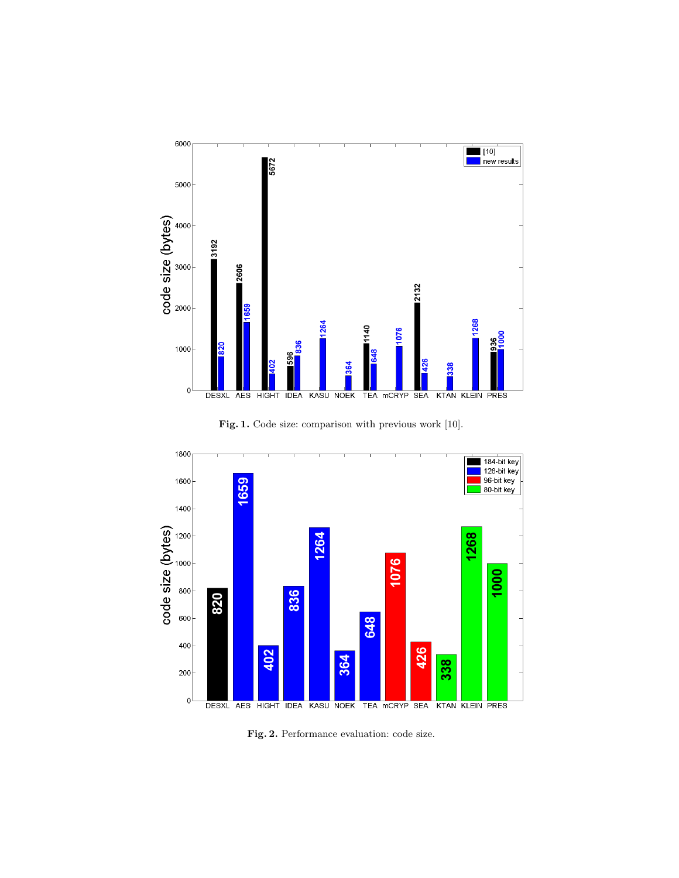

Fig. 1. Code size: comparison with previous work [10].



Fig. 2. Performance evaluation: code size.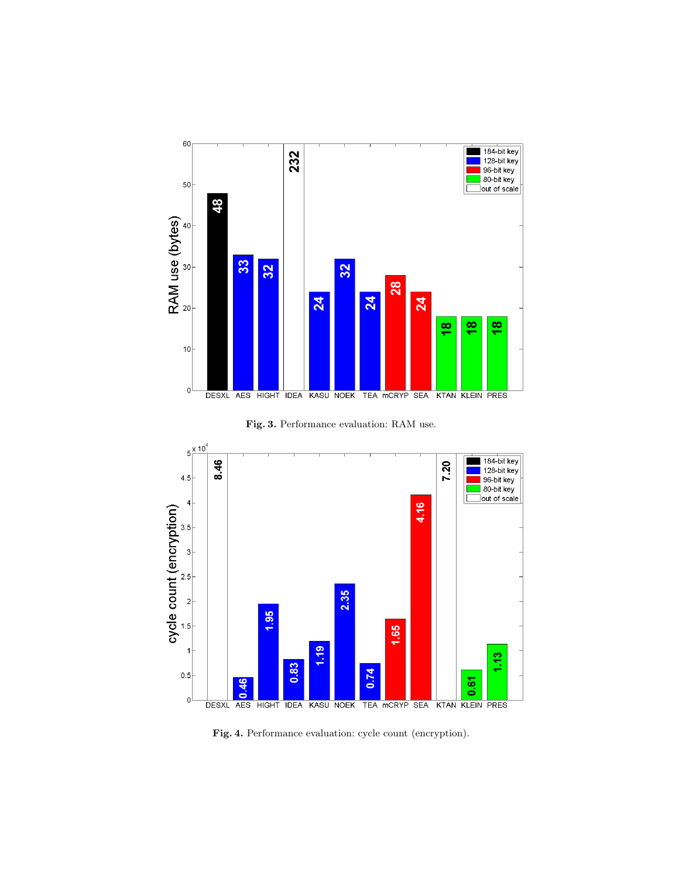

Fig. 3. Performance evaluation: RAM use.



Fig. 4. Performance evaluation: cycle count (encryption).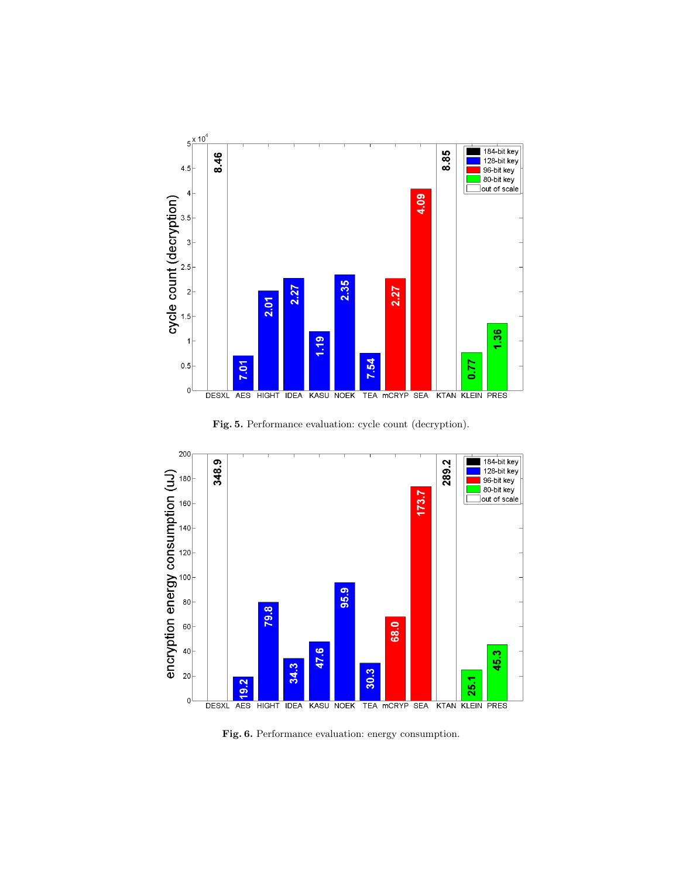

Fig. 5. Performance evaluation: cycle count (decryption).



Fig. 6. Performance evaluation: energy consumption.